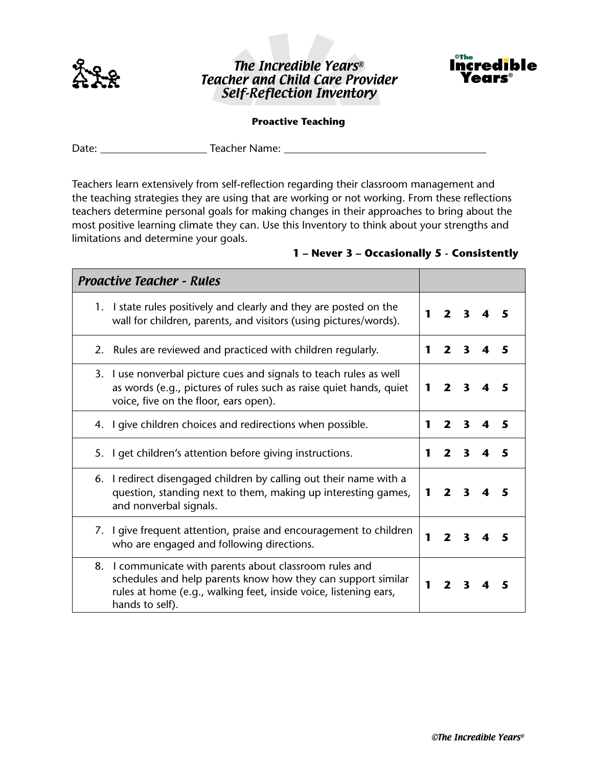

## The Incredible Years® Teacher and Child Care Provider Self-Reflection Inventory



## **Proactive Teaching**

Date: \_\_\_\_\_\_\_\_\_\_\_\_\_\_\_\_\_\_\_\_ Teacher Name: \_\_\_\_\_\_\_\_\_\_\_\_\_\_\_\_\_\_\_\_\_\_\_\_\_\_\_\_\_\_\_\_\_\_\_\_\_\_

Teachers learn extensively from self-reflection regarding their classroom management and the teaching strategies they are using that are working or not working. From these reflections teachers determine personal goals for making changes in their approaches to bring about the most positive learning climate they can. Use this Inventory to think about your strengths and limitations and determine your goals.

## **1 – Never 3 – Occasionally 5 - Consistently**

| <b>Proactive Teacher - Rules</b>                                                                                                                                                                               |             |                         |                         |   |
|----------------------------------------------------------------------------------------------------------------------------------------------------------------------------------------------------------------|-------------|-------------------------|-------------------------|---|
| 1. I state rules positively and clearly and they are posted on the<br>wall for children, parents, and visitors (using pictures/words).                                                                         |             |                         | 2 <sup>3</sup>          |   |
| 2. Rules are reviewed and practiced with children regularly.                                                                                                                                                   |             | $\overline{2}$          | 3                       |   |
| 3. I use nonverbal picture cues and signals to teach rules as well<br>as words (e.g., pictures of rules such as raise quiet hands, quiet<br>voice, five on the floor, ears open).                              |             | $\overline{\mathbf{z}}$ | $\mathbf{3}$            |   |
| 4. I give children choices and redirections when possible.                                                                                                                                                     | 1           | $2^{\circ}$             | $\overline{\mathbf{3}}$ | 5 |
| 5. I get children's attention before giving instructions.                                                                                                                                                      | 1           | $\mathbf{2}$            | $\overline{\mathbf{3}}$ | 5 |
| 6. I redirect disengaged children by calling out their name with a<br>question, standing next to them, making up interesting games,<br>and nonverbal signals.                                                  | $\mathbf 1$ | $\mathbf{2}$            | 3                       |   |
| 7. I give frequent attention, praise and encouragement to children<br>who are engaged and following directions.                                                                                                | 1           | $\overline{\mathbf{z}}$ | ર                       |   |
| 8. I communicate with parents about classroom rules and<br>schedules and help parents know how they can support similar<br>rules at home (e.g., walking feet, inside voice, listening ears,<br>hands to self). |             |                         | 3                       |   |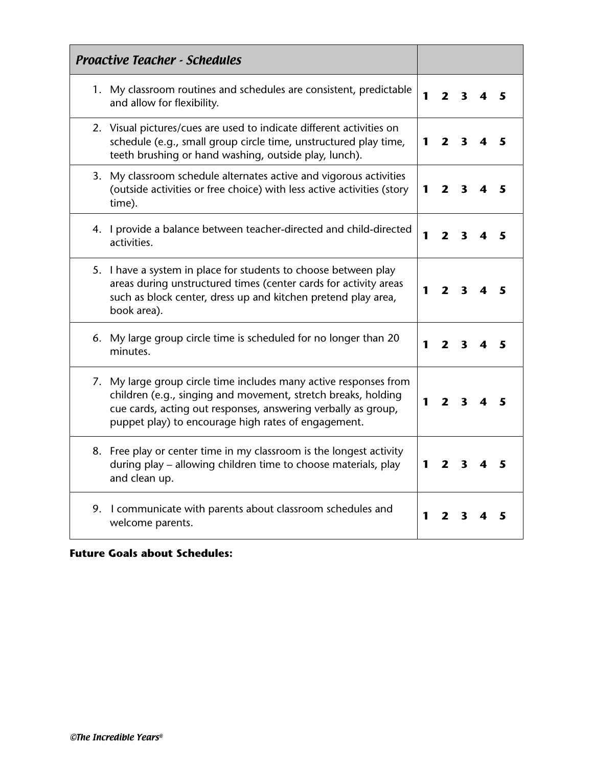| <b>Proactive Teacher - Schedules</b>                                                                                                                                                                                                                       |   |                         |                         |   |
|------------------------------------------------------------------------------------------------------------------------------------------------------------------------------------------------------------------------------------------------------------|---|-------------------------|-------------------------|---|
| 1. My classroom routines and schedules are consistent, predictable<br>and allow for flexibility.                                                                                                                                                           | 1 | 2                       | 3                       |   |
| 2. Visual pictures/cues are used to indicate different activities on<br>schedule (e.g., small group circle time, unstructured play time,<br>teeth brushing or hand washing, outside play, lunch).                                                          | 1 | $\mathbf{2}$            | 3                       | 5 |
| 3. My classroom schedule alternates active and vigorous activities<br>(outside activities or free choice) with less active activities (story<br>time).                                                                                                     | 1 | 2                       | 3                       |   |
| 4. I provide a balance between teacher-directed and child-directed<br>activities.                                                                                                                                                                          | 1 | $\mathbf{2}$            | 3                       |   |
| 5. I have a system in place for students to choose between play<br>areas during unstructured times (center cards for activity areas<br>such as block center, dress up and kitchen pretend play area,<br>book area).                                        | 1 | $\mathbf{2}$            | 3                       | 5 |
| 6. My large group circle time is scheduled for no longer than 20<br>minutes.                                                                                                                                                                               | 1 | 2                       | 3                       | 5 |
| 7. My large group circle time includes many active responses from<br>children (e.g., singing and movement, stretch breaks, holding<br>cue cards, acting out responses, answering verbally as group,<br>puppet play) to encourage high rates of engagement. |   | $\overline{\mathbf{z}}$ | $\overline{\mathbf{3}}$ |   |
| 8. Free play or center time in my classroom is the longest activity<br>during play - allowing children time to choose materials, play<br>and clean up.                                                                                                     | 1 | $\mathbf{2}$            | 3                       |   |
| 9. I communicate with parents about classroom schedules and<br>welcome parents.                                                                                                                                                                            | 1 | 2                       | 3                       |   |

## **Future Goals about Schedules:**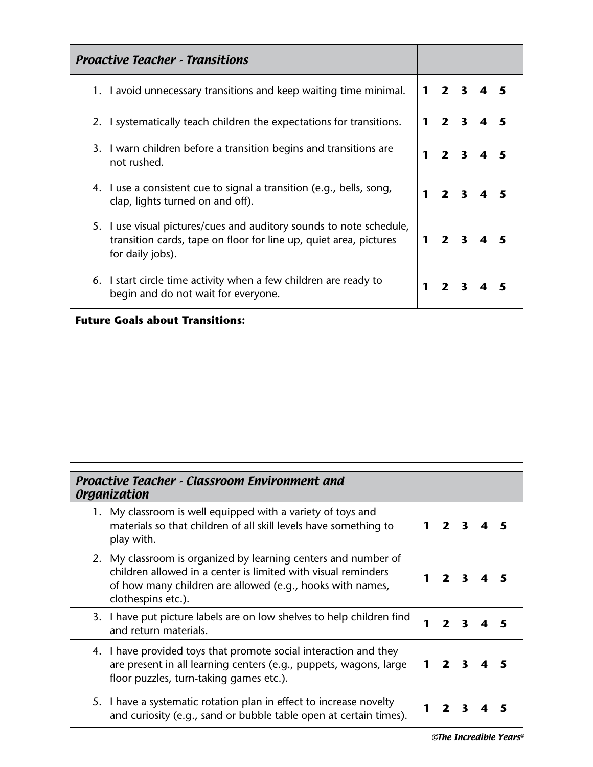| <b>Proactive Teacher - Transitions</b>                                                                                                                                                                             |   |              |              |   |   |
|--------------------------------------------------------------------------------------------------------------------------------------------------------------------------------------------------------------------|---|--------------|--------------|---|---|
| 1. I avoid unnecessary transitions and keep waiting time minimal.                                                                                                                                                  | 1 | $2^{\circ}$  | $\mathbf{3}$ | 4 | 5 |
| 2. I systematically teach children the expectations for transitions.                                                                                                                                               | 1 | $\mathbf{2}$ | $\mathbf{3}$ | 4 | 5 |
| 3. I warn children before a transition begins and transitions are<br>not rushed.                                                                                                                                   | 1 | $\mathbf{2}$ | 3            | 4 | 5 |
| 4. I use a consistent cue to signal a transition (e.g., bells, song,<br>clap, lights turned on and off).                                                                                                           | 1 | $\mathbf{2}$ | 3            | 4 | 5 |
| 5. I use visual pictures/cues and auditory sounds to note schedule,<br>transition cards, tape on floor for line up, quiet area, pictures<br>for daily jobs).                                                       | 1 | $\mathbf{2}$ | 3            | 4 | 5 |
| 6. I start circle time activity when a few children are ready to<br>begin and do not wait for everyone.                                                                                                            | 1 | $\mathbf{2}$ | 3            | 4 | 5 |
|                                                                                                                                                                                                                    |   |              |              |   |   |
| <b>Proactive Teacher - Classroom Environment and</b><br><b>Organization</b>                                                                                                                                        |   |              |              |   |   |
| 1. My classroom is well equipped with a variety of toys and<br>materials so that children of all skill levels have something to<br>play with.                                                                      | 1 | $\mathbf{2}$ | 3            | 4 |   |
| 2. My classroom is organized by learning centers and number of<br>children allowed in a center is limited with visual reminders<br>of how many children are allowed (e.g., hooks with names,<br>clothespins etc.). | 1 | $\mathbf{2}$ | 3            | 4 |   |
| 3. I have put picture labels are on low shelves to help children find<br>and return materials.                                                                                                                     | 1 | $\mathbf{2}$ | 3            | 4 | 5 |
| 4. I have provided toys that promote social interaction and they<br>are present in all learning centers (e.g., puppets, wagons, large<br>floor puzzles, turn-taking games etc.).                                   | 1 | $\mathbf{2}$ | 3            | 4 | 5 |
| 5. I have a systematic rotation plan in effect to increase novelty<br>and curiosity (e.g., sand or bubble table open at certain times).                                                                            | 1 | 2            | 3            |   | 5 |